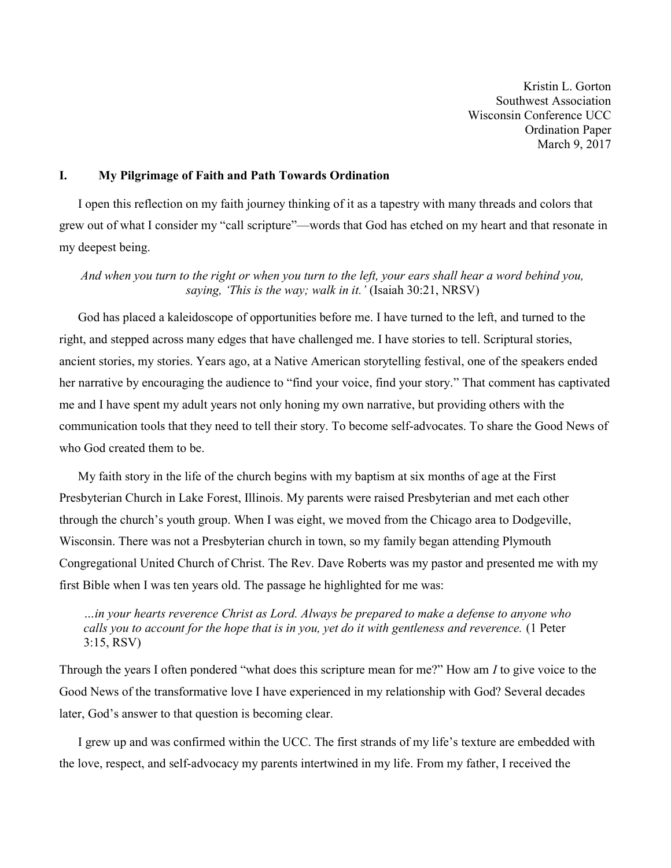Kristin L. Gorton Southwest Association Wisconsin Conference UCC Ordination Paper March 9, 2017

## I. My Pilgrimage of Faith and Path Towards Ordination

 I open this reflection on my faith journey thinking of it as a tapestry with many threads and colors that grew out of what I consider my "call scripture"—words that God has etched on my heart and that resonate in my deepest being.

And when you turn to the right or when you turn to the left, your ears shall hear a word behind you, saying, 'This is the way; walk in it.' (Isaiah 30:21, NRSV)

 God has placed a kaleidoscope of opportunities before me. I have turned to the left, and turned to the right, and stepped across many edges that have challenged me. I have stories to tell. Scriptural stories, ancient stories, my stories. Years ago, at a Native American storytelling festival, one of the speakers ended her narrative by encouraging the audience to "find your voice, find your story." That comment has captivated me and I have spent my adult years not only honing my own narrative, but providing others with the communication tools that they need to tell their story. To become self-advocates. To share the Good News of who God created them to be.

 My faith story in the life of the church begins with my baptism at six months of age at the First Presbyterian Church in Lake Forest, Illinois. My parents were raised Presbyterian and met each other through the church's youth group. When I was eight, we moved from the Chicago area to Dodgeville, Wisconsin. There was not a Presbyterian church in town, so my family began attending Plymouth Congregational United Church of Christ. The Rev. Dave Roberts was my pastor and presented me with my first Bible when I was ten years old. The passage he highlighted for me was:

…in your hearts reverence Christ as Lord. Always be prepared to make a defense to anyone who calls you to account for the hope that is in you, yet do it with gentleness and reverence. (1 Peter 3:15, RSV)

Through the years I often pondered "what does this scripture mean for me?" How am I to give voice to the Good News of the transformative love I have experienced in my relationship with God? Several decades later, God's answer to that question is becoming clear.

 I grew up and was confirmed within the UCC. The first strands of my life's texture are embedded with the love, respect, and self-advocacy my parents intertwined in my life. From my father, I received the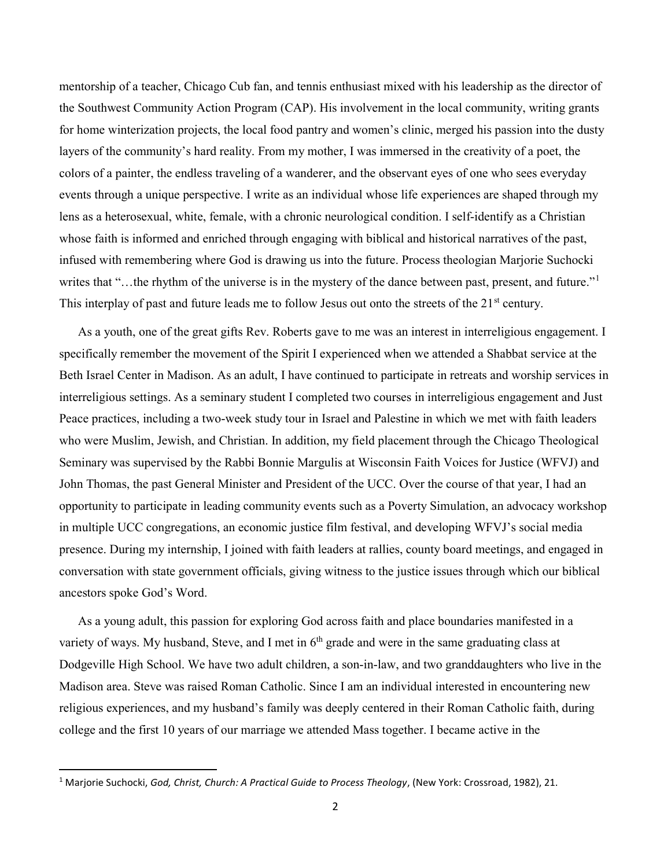mentorship of a teacher, Chicago Cub fan, and tennis enthusiast mixed with his leadership as the director of the Southwest Community Action Program (CAP). His involvement in the local community, writing grants for home winterization projects, the local food pantry and women's clinic, merged his passion into the dusty layers of the community's hard reality. From my mother, I was immersed in the creativity of a poet, the colors of a painter, the endless traveling of a wanderer, and the observant eyes of one who sees everyday events through a unique perspective. I write as an individual whose life experiences are shaped through my lens as a heterosexual, white, female, with a chronic neurological condition. I self-identify as a Christian whose faith is informed and enriched through engaging with biblical and historical narratives of the past, infused with remembering where God is drawing us into the future. Process theologian Marjorie Suchocki writes that "...the rhythm of the universe is in the mystery of the dance between past, present, and future."<sup>1</sup> This interplay of past and future leads me to follow Jesus out onto the streets of the 21<sup>st</sup> century.

 As a youth, one of the great gifts Rev. Roberts gave to me was an interest in interreligious engagement. I specifically remember the movement of the Spirit I experienced when we attended a Shabbat service at the Beth Israel Center in Madison. As an adult, I have continued to participate in retreats and worship services in interreligious settings. As a seminary student I completed two courses in interreligious engagement and Just Peace practices, including a two-week study tour in Israel and Palestine in which we met with faith leaders who were Muslim, Jewish, and Christian. In addition, my field placement through the Chicago Theological Seminary was supervised by the Rabbi Bonnie Margulis at Wisconsin Faith Voices for Justice (WFVJ) and John Thomas, the past General Minister and President of the UCC. Over the course of that year, I had an opportunity to participate in leading community events such as a Poverty Simulation, an advocacy workshop in multiple UCC congregations, an economic justice film festival, and developing WFVJ's social media presence. During my internship, I joined with faith leaders at rallies, county board meetings, and engaged in conversation with state government officials, giving witness to the justice issues through which our biblical ancestors spoke God's Word.

 As a young adult, this passion for exploring God across faith and place boundaries manifested in a variety of ways. My husband, Steve, and I met in  $6<sup>th</sup>$  grade and were in the same graduating class at Dodgeville High School. We have two adult children, a son-in-law, and two granddaughters who live in the Madison area. Steve was raised Roman Catholic. Since I am an individual interested in encountering new religious experiences, and my husband's family was deeply centered in their Roman Catholic faith, during college and the first 10 years of our marriage we attended Mass together. I became active in the

<sup>&</sup>lt;sup>1</sup> Marjorie Suchocki, God, Christ, Church: A Practical Guide to Process Theology, (New York: Crossroad, 1982), 21.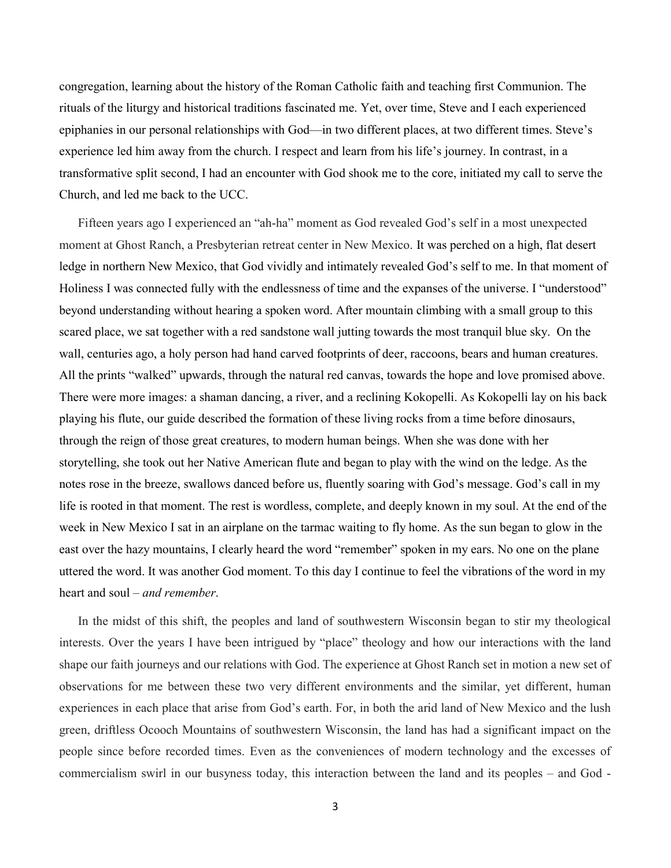congregation, learning about the history of the Roman Catholic faith and teaching first Communion. The rituals of the liturgy and historical traditions fascinated me. Yet, over time, Steve and I each experienced epiphanies in our personal relationships with God—in two different places, at two different times. Steve's experience led him away from the church. I respect and learn from his life's journey. In contrast, in a transformative split second, I had an encounter with God shook me to the core, initiated my call to serve the Church, and led me back to the UCC.

 Fifteen years ago I experienced an "ah-ha" moment as God revealed God's self in a most unexpected moment at Ghost Ranch, a Presbyterian retreat center in New Mexico. It was perched on a high, flat desert ledge in northern New Mexico, that God vividly and intimately revealed God's self to me. In that moment of Holiness I was connected fully with the endlessness of time and the expanses of the universe. I "understood" beyond understanding without hearing a spoken word. After mountain climbing with a small group to this scared place, we sat together with a red sandstone wall jutting towards the most tranquil blue sky. On the wall, centuries ago, a holy person had hand carved footprints of deer, raccoons, bears and human creatures. All the prints "walked" upwards, through the natural red canvas, towards the hope and love promised above. There were more images: a shaman dancing, a river, and a reclining Kokopelli. As Kokopelli lay on his back playing his flute, our guide described the formation of these living rocks from a time before dinosaurs, through the reign of those great creatures, to modern human beings. When she was done with her storytelling, she took out her Native American flute and began to play with the wind on the ledge. As the notes rose in the breeze, swallows danced before us, fluently soaring with God's message. God's call in my life is rooted in that moment. The rest is wordless, complete, and deeply known in my soul. At the end of the week in New Mexico I sat in an airplane on the tarmac waiting to fly home. As the sun began to glow in the east over the hazy mountains, I clearly heard the word "remember" spoken in my ears. No one on the plane uttered the word. It was another God moment. To this day I continue to feel the vibrations of the word in my heart and soul – *and remember*.

 In the midst of this shift, the peoples and land of southwestern Wisconsin began to stir my theological interests. Over the years I have been intrigued by "place" theology and how our interactions with the land shape our faith journeys and our relations with God. The experience at Ghost Ranch set in motion a new set of observations for me between these two very different environments and the similar, yet different, human experiences in each place that arise from God's earth. For, in both the arid land of New Mexico and the lush green, driftless Ocooch Mountains of southwestern Wisconsin, the land has had a significant impact on the people since before recorded times. Even as the conveniences of modern technology and the excesses of commercialism swirl in our busyness today, this interaction between the land and its peoples – and God -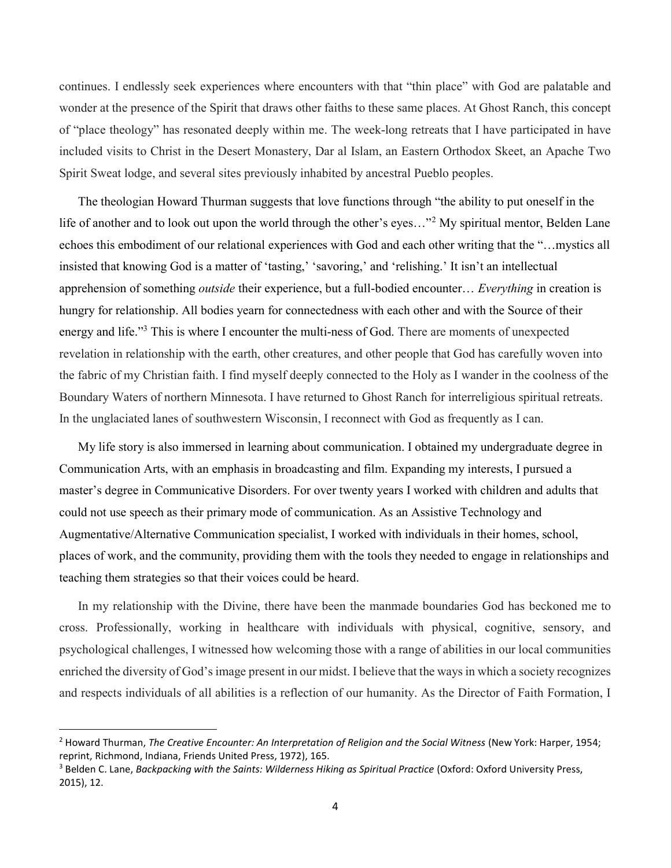continues. I endlessly seek experiences where encounters with that "thin place" with God are palatable and wonder at the presence of the Spirit that draws other faiths to these same places. At Ghost Ranch, this concept of "place theology" has resonated deeply within me. The week-long retreats that I have participated in have included visits to Christ in the Desert Monastery, Dar al Islam, an Eastern Orthodox Skeet, an Apache Two Spirit Sweat lodge, and several sites previously inhabited by ancestral Pueblo peoples.

 The theologian Howard Thurman suggests that love functions through "the ability to put oneself in the life of another and to look out upon the world through the other's eyes..."<sup>2</sup> My spiritual mentor, Belden Lane echoes this embodiment of our relational experiences with God and each other writing that the "…mystics all insisted that knowing God is a matter of 'tasting,' 'savoring,' and 'relishing.' It isn't an intellectual apprehension of something outside their experience, but a full-bodied encounter… Everything in creation is hungry for relationship. All bodies yearn for connectedness with each other and with the Source of their energy and life."<sup>3</sup> This is where I encounter the multi-ness of God. There are moments of unexpected revelation in relationship with the earth, other creatures, and other people that God has carefully woven into the fabric of my Christian faith. I find myself deeply connected to the Holy as I wander in the coolness of the Boundary Waters of northern Minnesota. I have returned to Ghost Ranch for interreligious spiritual retreats. In the unglaciated lanes of southwestern Wisconsin, I reconnect with God as frequently as I can.

 My life story is also immersed in learning about communication. I obtained my undergraduate degree in Communication Arts, with an emphasis in broadcasting and film. Expanding my interests, I pursued a master's degree in Communicative Disorders. For over twenty years I worked with children and adults that could not use speech as their primary mode of communication. As an Assistive Technology and Augmentative/Alternative Communication specialist, I worked with individuals in their homes, school, places of work, and the community, providing them with the tools they needed to engage in relationships and teaching them strategies so that their voices could be heard.

 In my relationship with the Divine, there have been the manmade boundaries God has beckoned me to cross. Professionally, working in healthcare with individuals with physical, cognitive, sensory, and psychological challenges, I witnessed how welcoming those with a range of abilities in our local communities enriched the diversity of God's image present in our midst. I believe that the ways in which a society recognizes and respects individuals of all abilities is a reflection of our humanity. As the Director of Faith Formation, I

<sup>&</sup>lt;sup>2</sup> Howard Thurman, The Creative Encounter: An Interpretation of Religion and the Social Witness (New York: Harper, 1954; reprint, Richmond, Indiana, Friends United Press, 1972), 165.

<sup>&</sup>lt;sup>3</sup> Belden C. Lane, *Backpacking with the Saints: Wilderness Hiking as Spiritual Practice (Oxford: Oxford University Press,* 2015), 12.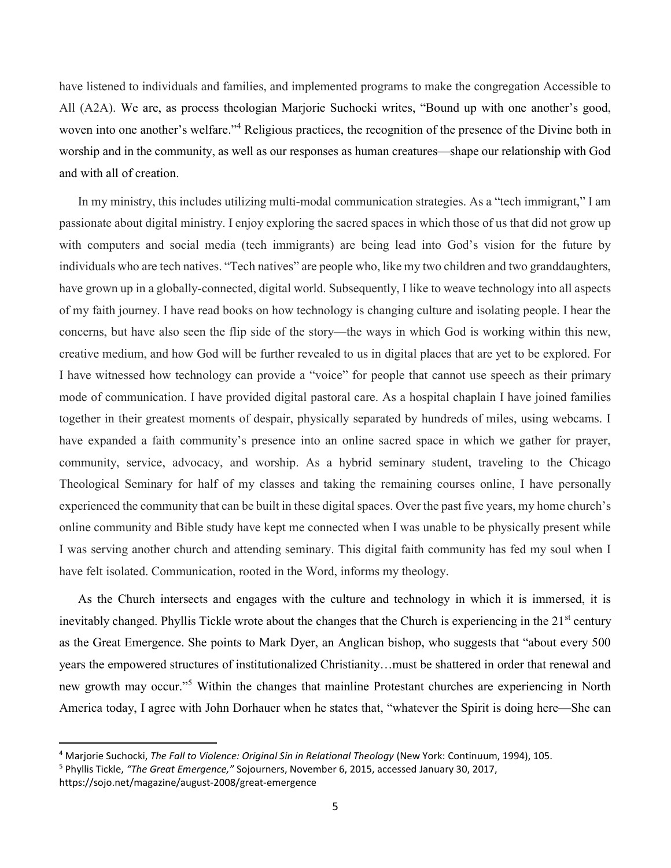have listened to individuals and families, and implemented programs to make the congregation Accessible to All (A2A). We are, as process theologian Marjorie Suchocki writes, "Bound up with one another's good, woven into one another's welfare."<sup>4</sup> Religious practices, the recognition of the presence of the Divine both in worship and in the community, as well as our responses as human creatures—shape our relationship with God and with all of creation.

 In my ministry, this includes utilizing multi-modal communication strategies. As a "tech immigrant," I am passionate about digital ministry. I enjoy exploring the sacred spaces in which those of us that did not grow up with computers and social media (tech immigrants) are being lead into God's vision for the future by individuals who are tech natives. "Tech natives" are people who, like my two children and two granddaughters, have grown up in a globally-connected, digital world. Subsequently, I like to weave technology into all aspects of my faith journey. I have read books on how technology is changing culture and isolating people. I hear the concerns, but have also seen the flip side of the story—the ways in which God is working within this new, creative medium, and how God will be further revealed to us in digital places that are yet to be explored. For I have witnessed how technology can provide a "voice" for people that cannot use speech as their primary mode of communication. I have provided digital pastoral care. As a hospital chaplain I have joined families together in their greatest moments of despair, physically separated by hundreds of miles, using webcams. I have expanded a faith community's presence into an online sacred space in which we gather for prayer, community, service, advocacy, and worship. As a hybrid seminary student, traveling to the Chicago Theological Seminary for half of my classes and taking the remaining courses online, I have personally experienced the community that can be built in these digital spaces. Over the past five years, my home church's online community and Bible study have kept me connected when I was unable to be physically present while I was serving another church and attending seminary. This digital faith community has fed my soul when I have felt isolated. Communication, rooted in the Word, informs my theology.

 As the Church intersects and engages with the culture and technology in which it is immersed, it is inevitably changed. Phyllis Tickle wrote about the changes that the Church is experiencing in the  $21<sup>st</sup>$  century as the Great Emergence. She points to Mark Dyer, an Anglican bishop, who suggests that "about every 500 years the empowered structures of institutionalized Christianity…must be shattered in order that renewal and new growth may occur."<sup>5</sup> Within the changes that mainline Protestant churches are experiencing in North America today, I agree with John Dorhauer when he states that, "whatever the Spirit is doing here—She can

<sup>&</sup>lt;sup>4</sup> Marjorie Suchocki, The Fall to Violence: Original Sin in Relational Theology (New York: Continuum, 1994), 105.

<sup>&</sup>lt;sup>5</sup> Phyllis Tickle, "The Great Emergence," Sojourners, November 6, 2015, accessed January 30, 2017, https://sojo.net/magazine/august-2008/great-emergence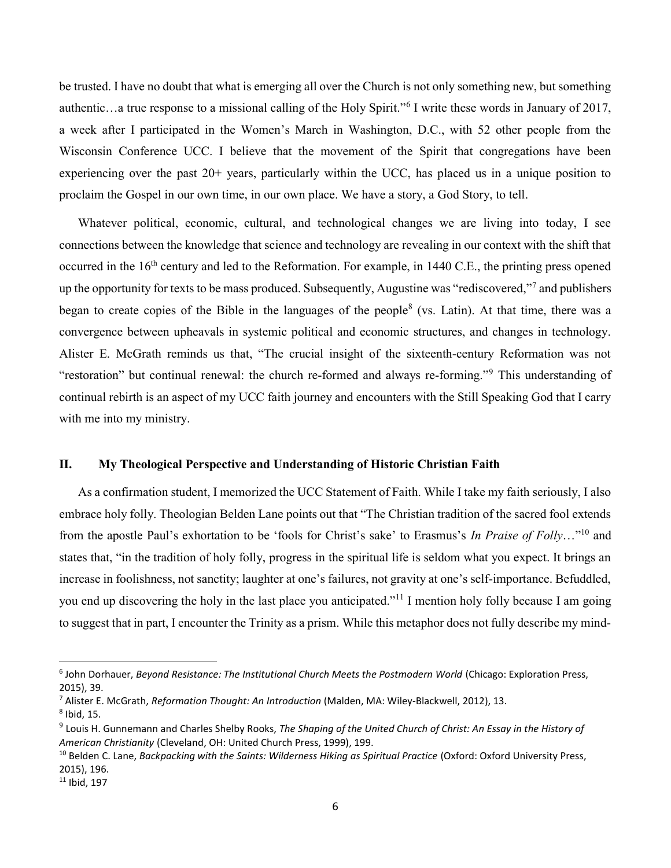be trusted. I have no doubt that what is emerging all over the Church is not only something new, but something authentic...a true response to a missional calling of the Holy Spirit."<sup>6</sup> I write these words in January of 2017, a week after I participated in the Women's March in Washington, D.C., with 52 other people from the Wisconsin Conference UCC. I believe that the movement of the Spirit that congregations have been experiencing over the past 20+ years, particularly within the UCC, has placed us in a unique position to proclaim the Gospel in our own time, in our own place. We have a story, a God Story, to tell.

 Whatever political, economic, cultural, and technological changes we are living into today, I see connections between the knowledge that science and technology are revealing in our context with the shift that occurred in the  $16<sup>th</sup>$  century and led to the Reformation. For example, in 1440 C.E., the printing press opened up the opportunity for texts to be mass produced. Subsequently, Augustine was "rediscovered,"<sup>7</sup> and publishers began to create copies of the Bible in the languages of the people<sup>8</sup> (vs. Latin). At that time, there was a convergence between upheavals in systemic political and economic structures, and changes in technology. Alister E. McGrath reminds us that, "The crucial insight of the sixteenth-century Reformation was not "restoration" but continual renewal: the church re-formed and always re-forming."<sup>9</sup> This understanding of continual rebirth is an aspect of my UCC faith journey and encounters with the Still Speaking God that I carry with me into my ministry.

#### II. My Theological Perspective and Understanding of Historic Christian Faith

 As a confirmation student, I memorized the UCC Statement of Faith. While I take my faith seriously, I also embrace holy folly. Theologian Belden Lane points out that "The Christian tradition of the sacred fool extends from the apostle Paul's exhortation to be 'fools for Christ's sake' to Erasmus's In Praise of Folly..."<sup>10</sup> and states that, "in the tradition of holy folly, progress in the spiritual life is seldom what you expect. It brings an increase in foolishness, not sanctity; laughter at one's failures, not gravity at one's self-importance. Befuddled, you end up discovering the holy in the last place you anticipated."<sup>11</sup> I mention holy folly because I am going to suggest that in part, I encounter the Trinity as a prism. While this metaphor does not fully describe my mind-

<sup>&</sup>lt;sup>6</sup> John Dorhauer, Beyond Resistance: The Institutional Church Meets the Postmodern World (Chicago: Exploration Press, 2015), 39.

<sup>&</sup>lt;sup>7</sup> Alister E. McGrath, Reformation Thought: An Introduction (Malden, MA: Wiley-Blackwell, 2012), 13.  $^8$  Ibid, 15.

 $9$  Louis H. Gunnemann and Charles Shelby Rooks, The Shaping of the United Church of Christ: An Essay in the History of American Christianity (Cleveland, OH: United Church Press, 1999), 199.

<sup>&</sup>lt;sup>10</sup> Belden C. Lane, Backpacking with the Saints: Wilderness Hiking as Spiritual Practice (Oxford: Oxford University Press, 2015), 196.

 $11$  Ibid, 197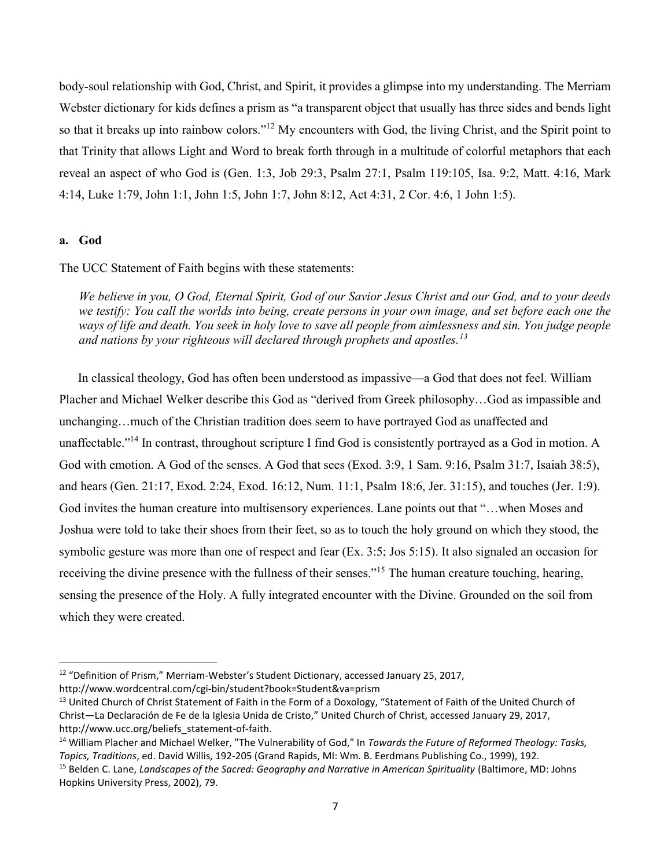body-soul relationship with God, Christ, and Spirit, it provides a glimpse into my understanding. The Merriam Webster dictionary for kids defines a prism as "a transparent object that usually has three sides and bends light so that it breaks up into rainbow colors."<sup>12</sup> My encounters with God, the living Christ, and the Spirit point to that Trinity that allows Light and Word to break forth through in a multitude of colorful metaphors that each reveal an aspect of who God is (Gen. 1:3, Job 29:3, Psalm 27:1, Psalm 119:105, Isa. 9:2, Matt. 4:16, Mark 4:14, Luke 1:79, John 1:1, John 1:5, John 1:7, John 8:12, Act 4:31, 2 Cor. 4:6, 1 John 1:5).

#### a. God

 $\overline{a}$ 

The UCC Statement of Faith begins with these statements:

We believe in you, O God, Eternal Spirit, God of our Savior Jesus Christ and our God, and to your deeds we testify: You call the worlds into being, create persons in your own image, and set before each one the ways of life and death. You seek in holy love to save all people from aimlessness and sin. You judge people and nations by your righteous will declared through prophets and apostles.<sup>13</sup>

 In classical theology, God has often been understood as impassive—a God that does not feel. William Placher and Michael Welker describe this God as "derived from Greek philosophy…God as impassible and unchanging…much of the Christian tradition does seem to have portrayed God as unaffected and unaffectable."<sup>14</sup> In contrast, throughout scripture I find God is consistently portrayed as a God in motion. A God with emotion. A God of the senses. A God that sees (Exod. 3:9, 1 Sam. 9:16, Psalm 31:7, Isaiah 38:5), and hears (Gen. 21:17, Exod. 2:24, Exod. 16:12, Num. 11:1, Psalm 18:6, Jer. 31:15), and touches (Jer. 1:9). God invites the human creature into multisensory experiences. Lane points out that "…when Moses and Joshua were told to take their shoes from their feet, so as to touch the holy ground on which they stood, the symbolic gesture was more than one of respect and fear (Ex. 3:5; Jos 5:15). It also signaled an occasion for receiving the divine presence with the fullness of their senses."<sup>15</sup> The human creature touching, hearing, sensing the presence of the Holy. A fully integrated encounter with the Divine. Grounded on the soil from which they were created.

<sup>&</sup>lt;sup>12</sup> "Definition of Prism," Merriam-Webster's Student Dictionary, accessed January 25, 2017,

http://www.wordcentral.com/cgi-bin/student?book=Student&va=prism

<sup>&</sup>lt;sup>13</sup> United Church of Christ Statement of Faith in the Form of a Doxology, "Statement of Faith of the United Church of Christ—La Declaración de Fe de la Iglesia Unida de Cristo," United Church of Christ, accessed January 29, 2017, http://www.ucc.org/beliefs\_statement-of-faith.

<sup>&</sup>lt;sup>14</sup> William Placher and Michael Welker, "The Vulnerability of God," In Towards the Future of Reformed Theology: Tasks, Topics, Traditions, ed. David Willis, 192-205 (Grand Rapids, MI: Wm. B. Eerdmans Publishing Co., 1999), 192.

<sup>&</sup>lt;sup>15</sup> Belden C. Lane, *Landscapes of the Sacred: Geography and Narrative in American Spirituality (Baltimore, MD: Johns* Hopkins University Press, 2002), 79.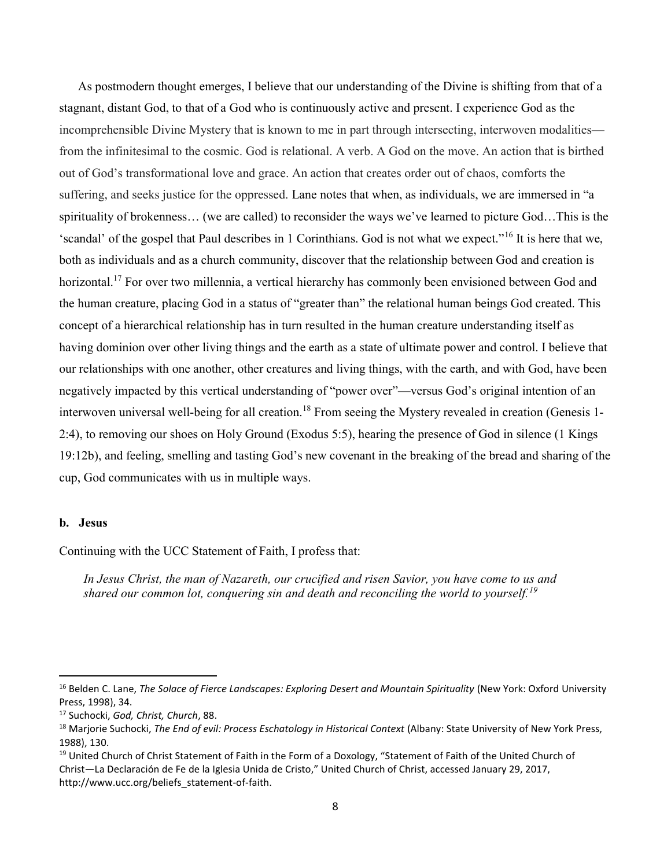As postmodern thought emerges, I believe that our understanding of the Divine is shifting from that of a stagnant, distant God, to that of a God who is continuously active and present. I experience God as the incomprehensible Divine Mystery that is known to me in part through intersecting, interwoven modalities from the infinitesimal to the cosmic. God is relational. A verb. A God on the move. An action that is birthed out of God's transformational love and grace. An action that creates order out of chaos, comforts the suffering, and seeks justice for the oppressed. Lane notes that when, as individuals, we are immersed in "a spirituality of brokenness… (we are called) to reconsider the ways we've learned to picture God…This is the 'scandal' of the gospel that Paul describes in 1 Corinthians. God is not what we expect."<sup>16</sup> It is here that we, both as individuals and as a church community, discover that the relationship between God and creation is horizontal.<sup>17</sup> For over two millennia, a vertical hierarchy has commonly been envisioned between God and the human creature, placing God in a status of "greater than" the relational human beings God created. This concept of a hierarchical relationship has in turn resulted in the human creature understanding itself as having dominion over other living things and the earth as a state of ultimate power and control. I believe that our relationships with one another, other creatures and living things, with the earth, and with God, have been negatively impacted by this vertical understanding of "power over"—versus God's original intention of an interwoven universal well-being for all creation.<sup>18</sup> From seeing the Mystery revealed in creation (Genesis 1-2:4), to removing our shoes on Holy Ground (Exodus 5:5), hearing the presence of God in silence (1 Kings 19:12b), and feeling, smelling and tasting God's new covenant in the breaking of the bread and sharing of the cup, God communicates with us in multiple ways.

#### b. Jesus

Continuing with the UCC Statement of Faith, I profess that:

In Jesus Christ, the man of Nazareth, our crucified and risen Savior, you have come to us and shared our common lot, conquering sin and death and reconciling the world to yourself.<sup>19</sup>

<sup>&</sup>lt;sup>16</sup> Belden C. Lane, The Solace of Fierce Landscapes: Exploring Desert and Mountain Spirituality (New York: Oxford University Press, 1998), 34.

<sup>&</sup>lt;sup>17</sup> Suchocki, God, Christ, Church, 88.

<sup>&</sup>lt;sup>18</sup> Marjorie Suchocki, The End of evil: Process Eschatology in Historical Context (Albany: State University of New York Press, 1988), 130.

<sup>&</sup>lt;sup>19</sup> United Church of Christ Statement of Faith in the Form of a Doxology, "Statement of Faith of the United Church of Christ—La Declaración de Fe de la Iglesia Unida de Cristo," United Church of Christ, accessed January 29, 2017, http://www.ucc.org/beliefs\_statement-of-faith.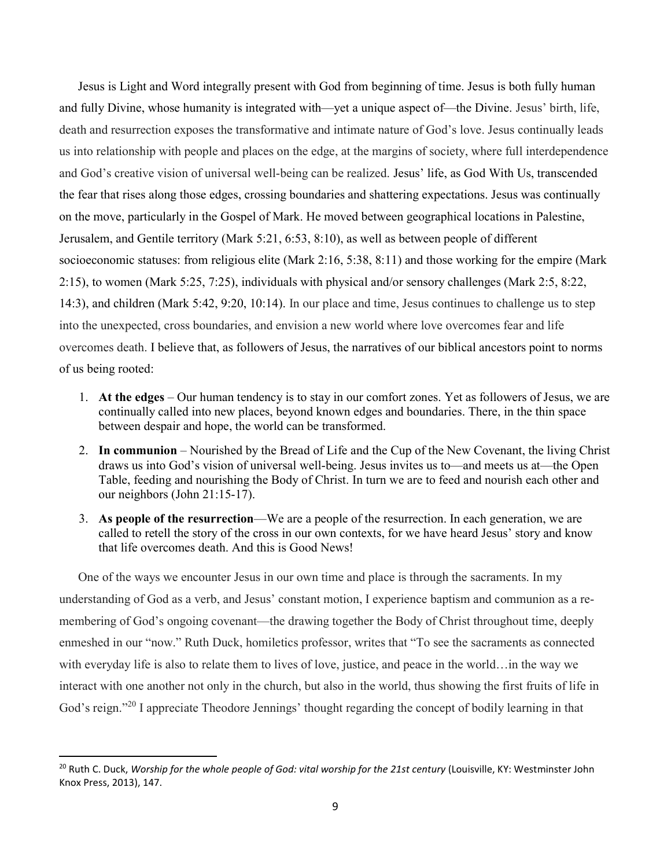Jesus is Light and Word integrally present with God from beginning of time. Jesus is both fully human and fully Divine, whose humanity is integrated with—yet a unique aspect of—the Divine. Jesus' birth, life, death and resurrection exposes the transformative and intimate nature of God's love. Jesus continually leads us into relationship with people and places on the edge, at the margins of society, where full interdependence and God's creative vision of universal well-being can be realized. Jesus' life, as God With Us, transcended the fear that rises along those edges, crossing boundaries and shattering expectations. Jesus was continually on the move, particularly in the Gospel of Mark. He moved between geographical locations in Palestine, Jerusalem, and Gentile territory (Mark 5:21, 6:53, 8:10), as well as between people of different socioeconomic statuses: from religious elite (Mark 2:16, 5:38, 8:11) and those working for the empire (Mark 2:15), to women (Mark 5:25, 7:25), individuals with physical and/or sensory challenges (Mark 2:5, 8:22, 14:3), and children (Mark 5:42, 9:20, 10:14). In our place and time, Jesus continues to challenge us to step into the unexpected, cross boundaries, and envision a new world where love overcomes fear and life overcomes death. I believe that, as followers of Jesus, the narratives of our biblical ancestors point to norms of us being rooted:

- 1. At the edges Our human tendency is to stay in our comfort zones. Yet as followers of Jesus, we are continually called into new places, beyond known edges and boundaries. There, in the thin space between despair and hope, the world can be transformed.
- 2. In communion Nourished by the Bread of Life and the Cup of the New Covenant, the living Christ draws us into God's vision of universal well-being. Jesus invites us to—and meets us at—the Open Table, feeding and nourishing the Body of Christ. In turn we are to feed and nourish each other and our neighbors (John 21:15-17).
- 3. As people of the resurrection—We are a people of the resurrection. In each generation, we are called to retell the story of the cross in our own contexts, for we have heard Jesus' story and know that life overcomes death. And this is Good News!

 One of the ways we encounter Jesus in our own time and place is through the sacraments. In my understanding of God as a verb, and Jesus' constant motion, I experience baptism and communion as a remembering of God's ongoing covenant—the drawing together the Body of Christ throughout time, deeply enmeshed in our "now." Ruth Duck, homiletics professor, writes that "To see the sacraments as connected with everyday life is also to relate them to lives of love, justice, and peace in the world…in the way we interact with one another not only in the church, but also in the world, thus showing the first fruits of life in God's reign."<sup>20</sup> I appreciate Theodore Jennings' thought regarding the concept of bodily learning in that

 $20$  Ruth C. Duck, Worship for the whole people of God: vital worship for the 21st century (Louisville, KY: Westminster John Knox Press, 2013), 147.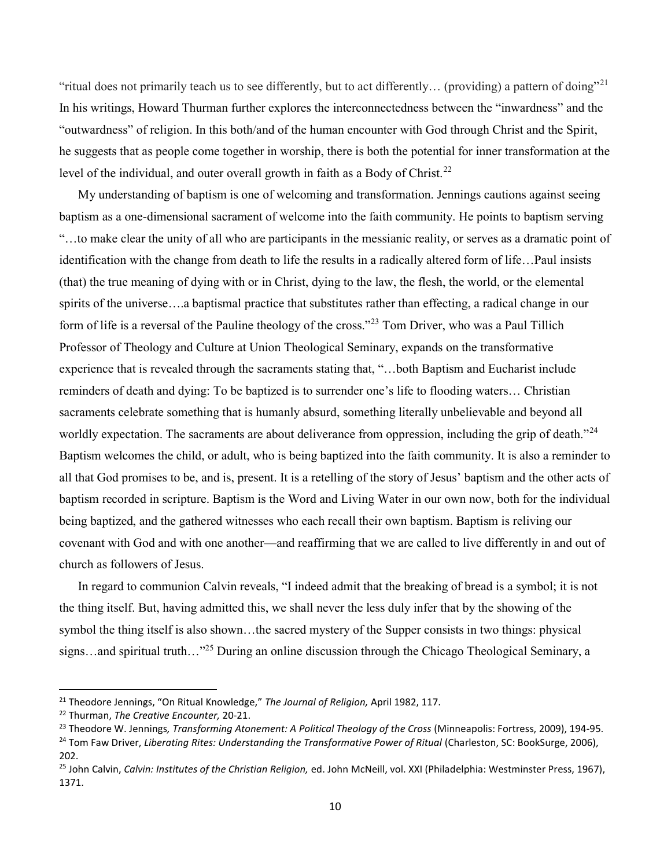"ritual does not primarily teach us to see differently, but to act differently... (providing) a pattern of doing"<sup>21</sup> In his writings, Howard Thurman further explores the interconnectedness between the "inwardness" and the "outwardness" of religion. In this both/and of the human encounter with God through Christ and the Spirit, he suggests that as people come together in worship, there is both the potential for inner transformation at the level of the individual, and outer overall growth in faith as a Body of Christ.<sup>22</sup>

 My understanding of baptism is one of welcoming and transformation. Jennings cautions against seeing baptism as a one-dimensional sacrament of welcome into the faith community. He points to baptism serving "…to make clear the unity of all who are participants in the messianic reality, or serves as a dramatic point of identification with the change from death to life the results in a radically altered form of life…Paul insists (that) the true meaning of dying with or in Christ, dying to the law, the flesh, the world, or the elemental spirits of the universe….a baptismal practice that substitutes rather than effecting, a radical change in our form of life is a reversal of the Pauline theology of the cross."<sup>23</sup> Tom Driver, who was a Paul Tillich Professor of Theology and Culture at Union Theological Seminary, expands on the transformative experience that is revealed through the sacraments stating that, "…both Baptism and Eucharist include reminders of death and dying: To be baptized is to surrender one's life to flooding waters… Christian sacraments celebrate something that is humanly absurd, something literally unbelievable and beyond all worldly expectation. The sacraments are about deliverance from oppression, including the grip of death."<sup>24</sup> Baptism welcomes the child, or adult, who is being baptized into the faith community. It is also a reminder to all that God promises to be, and is, present. It is a retelling of the story of Jesus' baptism and the other acts of baptism recorded in scripture. Baptism is the Word and Living Water in our own now, both for the individual being baptized, and the gathered witnesses who each recall their own baptism. Baptism is reliving our covenant with God and with one another—and reaffirming that we are called to live differently in and out of church as followers of Jesus.

 In regard to communion Calvin reveals, "I indeed admit that the breaking of bread is a symbol; it is not the thing itself. But, having admitted this, we shall never the less duly infer that by the showing of the symbol the thing itself is also shown…the sacred mystery of the Supper consists in two things: physical signs…and spiritual truth…"<sup>25</sup> During an online discussion through the Chicago Theological Seminary, a

<sup>&</sup>lt;sup>21</sup> Theodore Jennings, "On Ritual Knowledge," The Journal of Religion, April 1982, 117.

<sup>&</sup>lt;sup>22</sup> Thurman, The Creative Encounter, 20-21.

<sup>&</sup>lt;sup>23</sup> Theodore W. Jennings, Transforming Atonement: A Political Theology of the Cross (Minneapolis: Fortress, 2009), 194-95.

<sup>&</sup>lt;sup>24</sup> Tom Faw Driver, Liberating Rites: Understanding the Transformative Power of Ritual (Charleston, SC: BookSurge, 2006), 202.

<sup>&</sup>lt;sup>25</sup> John Calvin, Calvin: Institutes of the Christian Religion, ed. John McNeill, vol. XXI (Philadelphia: Westminster Press, 1967), 1371.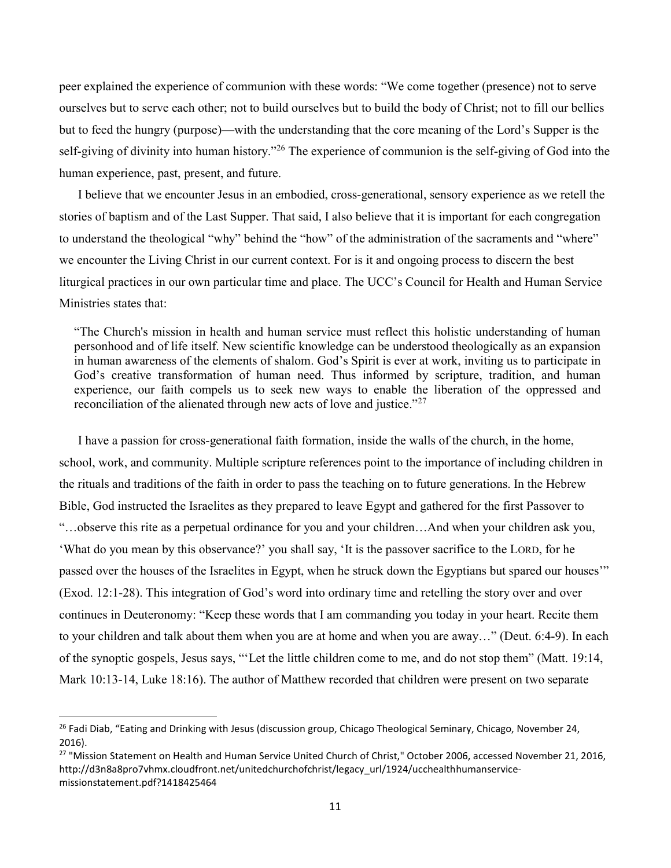peer explained the experience of communion with these words: "We come together (presence) not to serve ourselves but to serve each other; not to build ourselves but to build the body of Christ; not to fill our bellies but to feed the hungry (purpose)—with the understanding that the core meaning of the Lord's Supper is the self-giving of divinity into human history."<sup>26</sup> The experience of communion is the self-giving of God into the human experience, past, present, and future.

 I believe that we encounter Jesus in an embodied, cross-generational, sensory experience as we retell the stories of baptism and of the Last Supper. That said, I also believe that it is important for each congregation to understand the theological "why" behind the "how" of the administration of the sacraments and "where" we encounter the Living Christ in our current context. For is it and ongoing process to discern the best liturgical practices in our own particular time and place. The UCC's Council for Health and Human Service Ministries states that:

"The Church's mission in health and human service must reflect this holistic understanding of human personhood and of life itself. New scientific knowledge can be understood theologically as an expansion in human awareness of the elements of shalom. God's Spirit is ever at work, inviting us to participate in God's creative transformation of human need. Thus informed by scripture, tradition, and human experience, our faith compels us to seek new ways to enable the liberation of the oppressed and reconciliation of the alienated through new acts of love and justice."<sup>27</sup>

 I have a passion for cross-generational faith formation, inside the walls of the church, in the home, school, work, and community. Multiple scripture references point to the importance of including children in the rituals and traditions of the faith in order to pass the teaching on to future generations. In the Hebrew Bible, God instructed the Israelites as they prepared to leave Egypt and gathered for the first Passover to "…observe this rite as a perpetual ordinance for you and your children…And when your children ask you, 'What do you mean by this observance?' you shall say, 'It is the passover sacrifice to the LORD, for he passed over the houses of the Israelites in Egypt, when he struck down the Egyptians but spared our houses'" (Exod. 12:1-28). This integration of God's word into ordinary time and retelling the story over and over continues in Deuteronomy: "Keep these words that I am commanding you today in your heart. Recite them to your children and talk about them when you are at home and when you are away…" (Deut. 6:4-9). In each of the synoptic gospels, Jesus says, "'Let the little children come to me, and do not stop them" (Matt. 19:14, Mark 10:13-14, Luke 18:16). The author of Matthew recorded that children were present on two separate

<sup>&</sup>lt;sup>26</sup> Fadi Diab, "Eating and Drinking with Jesus (discussion group, Chicago Theological Seminary, Chicago, November 24, 2016).

<sup>&</sup>lt;sup>27</sup> "Mission Statement on Health and Human Service United Church of Christ," October 2006, accessed November 21, 2016, http://d3n8a8pro7vhmx.cloudfront.net/unitedchurchofchrist/legacy\_url/1924/ucchealthhumanservicemissionstatement.pdf?1418425464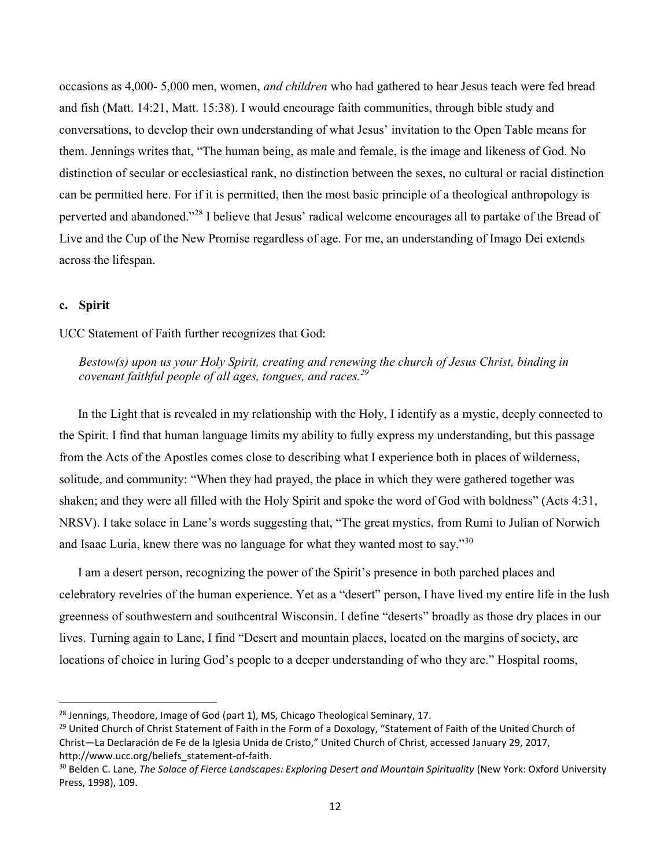occasions as 4,000- 5,000 men, women, and children who had gathered to hear Jesus teach were fed bread and fish (Matt. 14:21, Matt. 15:38). I would encourage faith communities, through bible study and conversations, to develop their own understanding of what Jesus' invitation to the Open Table means for them. Jennings writes that, "The human being, as male and female, is the image and likeness of God. No distinction of secular or ecclesiastical rank, no distinction between the sexes, no cultural or racial distinction can be permitted here. For if it is permitted, then the most basic principle of a theological anthropology is perverted and abandoned."<sup>28</sup> I believe that Jesus' radical welcome encourages all to partake of the Bread of Live and the Cup of the New Promise regardless of age. For me, an understanding of Imago Dei extends across the lifespan.

### c. Spirit

### UCC Statement of Faith further recognizes that God:

Bestow(s) upon us your Holy Spirit, creating and renewing the church of Jesus Christ, binding in covenant faithful people of all ages, tongues, and races.<sup>29</sup>

 In the Light that is revealed in my relationship with the Holy, I identify as a mystic, deeply connected to the Spirit. I find that human language limits my ability to fully express my understanding, but this passage from the Acts of the Apostles comes close to describing what I experience both in places of wilderness, solitude, and community: "When they had prayed, the place in which they were gathered together was shaken; and they were all filled with the Holy Spirit and spoke the word of God with boldness" (Acts 4:31, NRSV). I take solace in Lane's words suggesting that, "The great mystics, from Rumi to Julian of Norwich and Isaac Luria, knew there was no language for what they wanted most to say."<sup>30</sup>

 I am a desert person, recognizing the power of the Spirit's presence in both parched places and celebratory revelries of the human experience. Yet as a "desert" person, I have lived my entire life in the lush greenness of southwestern and southcentral Wisconsin. I define "deserts" broadly as those dry places in our lives. Turning again to Lane, I find "Desert and mountain places, located on the margins of society, are locations of choice in luring God's people to a deeper understanding of who they are." Hospital rooms,

<sup>&</sup>lt;sup>28</sup> Jennings, Theodore, Image of God (part 1), MS, Chicago Theological Seminary, 17.

<sup>&</sup>lt;sup>29</sup> United Church of Christ Statement of Faith in the Form of a Doxology, "Statement of Faith of the United Church of Christ—La Declaración de Fe de la Iglesia Unida de Cristo," United Church of Christ, accessed January 29, 2017, http://www.ucc.org/beliefs\_statement-of-faith.

<sup>&</sup>lt;sup>30</sup> Belden C. Lane, The Solace of Fierce Landscapes: Exploring Desert and Mountain Spirituality (New York: Oxford University Press, 1998), 109.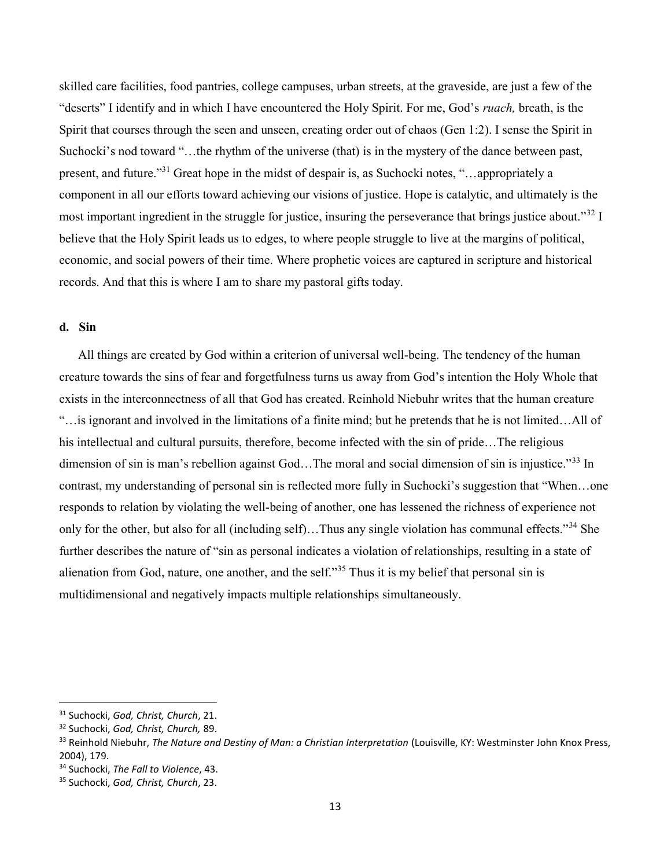skilled care facilities, food pantries, college campuses, urban streets, at the graveside, are just a few of the "deserts" I identify and in which I have encountered the Holy Spirit. For me, God's ruach, breath, is the Spirit that courses through the seen and unseen, creating order out of chaos (Gen 1:2). I sense the Spirit in Suchocki's nod toward "…the rhythm of the universe (that) is in the mystery of the dance between past, present, and future."<sup>31</sup> Great hope in the midst of despair is, as Suchocki notes, "…appropriately a component in all our efforts toward achieving our visions of justice. Hope is catalytic, and ultimately is the most important ingredient in the struggle for justice, insuring the perseverance that brings justice about."<sup>32</sup> I believe that the Holy Spirit leads us to edges, to where people struggle to live at the margins of political, economic, and social powers of their time. Where prophetic voices are captured in scripture and historical records. And that this is where I am to share my pastoral gifts today.

### d. Sin

 All things are created by God within a criterion of universal well-being. The tendency of the human creature towards the sins of fear and forgetfulness turns us away from God's intention the Holy Whole that exists in the interconnectness of all that God has created. Reinhold Niebuhr writes that the human creature "…is ignorant and involved in the limitations of a finite mind; but he pretends that he is not limited…All of his intellectual and cultural pursuits, therefore, become infected with the sin of pride…The religious dimension of sin is man's rebellion against God...The moral and social dimension of sin is injustice.<sup>33</sup> In contrast, my understanding of personal sin is reflected more fully in Suchocki's suggestion that "When…one responds to relation by violating the well-being of another, one has lessened the richness of experience not only for the other, but also for all (including self)...Thus any single violation has communal effects."<sup>34</sup> She further describes the nature of "sin as personal indicates a violation of relationships, resulting in a state of alienation from God, nature, one another, and the self."<sup>35</sup> Thus it is my belief that personal sin is multidimensional and negatively impacts multiple relationships simultaneously.

<sup>&</sup>lt;sup>31</sup> Suchocki, God, Christ, Church, 21.

<sup>&</sup>lt;sup>32</sup> Suchocki, God, Christ, Church, 89.

<sup>33</sup> Reinhold Niebuhr, The Nature and Destiny of Man: a Christian Interpretation (Louisville, KY: Westminster John Knox Press, 2004), 179.

<sup>&</sup>lt;sup>34</sup> Suchocki, The Fall to Violence, 43.

<sup>&</sup>lt;sup>35</sup> Suchocki, God, Christ, Church, 23.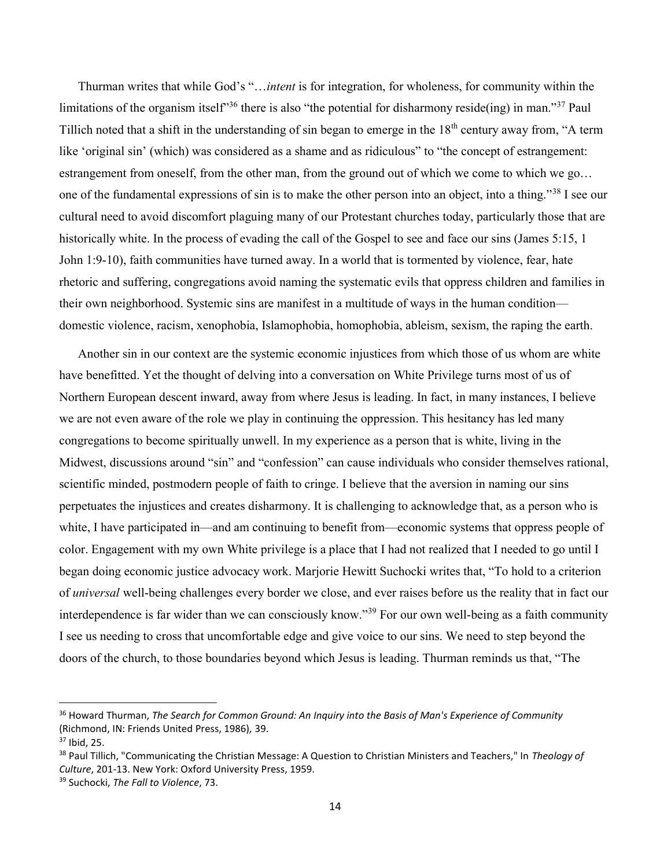Thurman writes that while God's "…intent is for integration, for wholeness, for community within the limitations of the organism itself<sup>36</sup> there is also "the potential for disharmony reside(ing) in man.<sup>37</sup> Paul Tillich noted that a shift in the understanding of sin began to emerge in the 18<sup>th</sup> century away from, "A term like 'original sin' (which) was considered as a shame and as ridiculous" to "the concept of estrangement: estrangement from oneself, from the other man, from the ground out of which we come to which we go… one of the fundamental expressions of sin is to make the other person into an object, into a thing."<sup>38</sup> I see our cultural need to avoid discomfort plaguing many of our Protestant churches today, particularly those that are historically white. In the process of evading the call of the Gospel to see and face our sins (James 5:15, 1) John 1:9-10), faith communities have turned away. In a world that is tormented by violence, fear, hate rhetoric and suffering, congregations avoid naming the systematic evils that oppress children and families in their own neighborhood. Systemic sins are manifest in a multitude of ways in the human condition domestic violence, racism, xenophobia, Islamophobia, homophobia, ableism, sexism, the raping the earth.

 Another sin in our context are the systemic economic injustices from which those of us whom are white have benefitted. Yet the thought of delving into a conversation on White Privilege turns most of us of Northern European descent inward, away from where Jesus is leading. In fact, in many instances, I believe we are not even aware of the role we play in continuing the oppression. This hesitancy has led many congregations to become spiritually unwell. In my experience as a person that is white, living in the Midwest, discussions around "sin" and "confession" can cause individuals who consider themselves rational, scientific minded, postmodern people of faith to cringe. I believe that the aversion in naming our sins perpetuates the injustices and creates disharmony. It is challenging to acknowledge that, as a person who is white, I have participated in—and am continuing to benefit from—economic systems that oppress people of color. Engagement with my own White privilege is a place that I had not realized that I needed to go until I began doing economic justice advocacy work. Marjorie Hewitt Suchocki writes that, "To hold to a criterion of universal well-being challenges every border we close, and ever raises before us the reality that in fact our interdependence is far wider than we can consciously know."<sup>39</sup> For our own well-being as a faith community I see us needing to cross that uncomfortable edge and give voice to our sins. We need to step beyond the doors of the church, to those boundaries beyond which Jesus is leading. Thurman reminds us that, "The

<sup>&</sup>lt;sup>36</sup> Howard Thurman, The Search for Common Ground: An Inquiry into the Basis of Man's Experience of Community (Richmond, IN: Friends United Press, 1986), 39.

<sup>37</sup> Ibid, 25.

<sup>&</sup>lt;sup>38</sup> Paul Tillich, "Communicating the Christian Message: A Question to Christian Ministers and Teachers," In Theology of Culture, 201-13. New York: Oxford University Press, 1959.

<sup>&</sup>lt;sup>39</sup> Suchocki, The Fall to Violence, 73.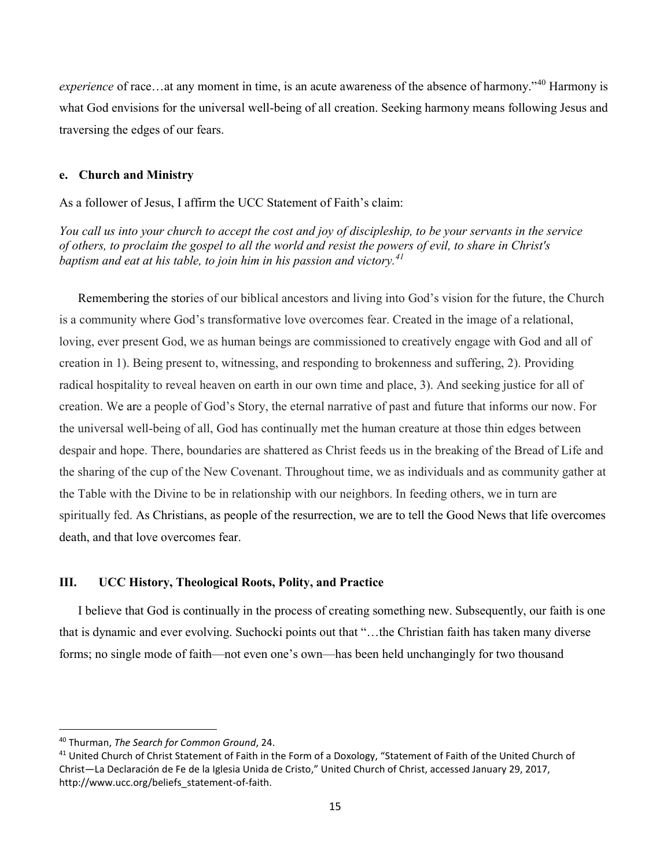experience of race…at any moment in time, is an acute awareness of the absence of harmony."<sup>40</sup> Harmony is what God envisions for the universal well-being of all creation. Seeking harmony means following Jesus and traversing the edges of our fears.

### e. Church and Ministry

As a follower of Jesus, I affirm the UCC Statement of Faith's claim:

You call us into your church to accept the cost and joy of discipleship, to be your servants in the service of others, to proclaim the gospel to all the world and resist the powers of evil, to share in Christ's baptism and eat at his table, to join him in his passion and victory.<sup>41</sup>

 Remembering the stories of our biblical ancestors and living into God's vision for the future, the Church is a community where God's transformative love overcomes fear. Created in the image of a relational, loving, ever present God, we as human beings are commissioned to creatively engage with God and all of creation in 1). Being present to, witnessing, and responding to brokenness and suffering, 2). Providing radical hospitality to reveal heaven on earth in our own time and place, 3). And seeking justice for all of creation. We are a people of God's Story, the eternal narrative of past and future that informs our now. For the universal well-being of all, God has continually met the human creature at those thin edges between despair and hope. There, boundaries are shattered as Christ feeds us in the breaking of the Bread of Life and the sharing of the cup of the New Covenant. Throughout time, we as individuals and as community gather at the Table with the Divine to be in relationship with our neighbors. In feeding others, we in turn are spiritually fed. As Christians, as people of the resurrection, we are to tell the Good News that life overcomes death, and that love overcomes fear.

# III. UCC History, Theological Roots, Polity, and Practice

 I believe that God is continually in the process of creating something new. Subsequently, our faith is one that is dynamic and ever evolving. Suchocki points out that "…the Christian faith has taken many diverse forms; no single mode of faith—not even one's own—has been held unchangingly for two thousand

<sup>40</sup> Thurman, The Search for Common Ground, 24.

<sup>&</sup>lt;sup>41</sup> United Church of Christ Statement of Faith in the Form of a Doxology, "Statement of Faith of the United Church of Christ—La Declaración de Fe de la Iglesia Unida de Cristo," United Church of Christ, accessed January 29, 2017, http://www.ucc.org/beliefs\_statement-of-faith.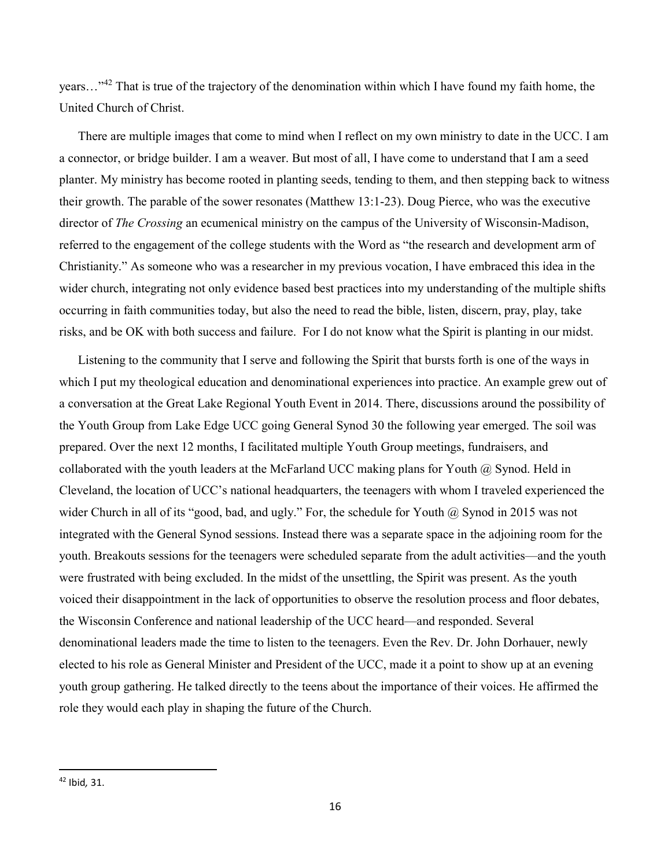years..."<sup>42</sup> That is true of the trajectory of the denomination within which I have found my faith home, the United Church of Christ.

 There are multiple images that come to mind when I reflect on my own ministry to date in the UCC. I am a connector, or bridge builder. I am a weaver. But most of all, I have come to understand that I am a seed planter. My ministry has become rooted in planting seeds, tending to them, and then stepping back to witness their growth. The parable of the sower resonates (Matthew 13:1-23). Doug Pierce, who was the executive director of *The Crossing* an ecumenical ministry on the campus of the University of Wisconsin-Madison, referred to the engagement of the college students with the Word as "the research and development arm of Christianity." As someone who was a researcher in my previous vocation, I have embraced this idea in the wider church, integrating not only evidence based best practices into my understanding of the multiple shifts occurring in faith communities today, but also the need to read the bible, listen, discern, pray, play, take risks, and be OK with both success and failure. For I do not know what the Spirit is planting in our midst.

 Listening to the community that I serve and following the Spirit that bursts forth is one of the ways in which I put my theological education and denominational experiences into practice. An example grew out of a conversation at the Great Lake Regional Youth Event in 2014. There, discussions around the possibility of the Youth Group from Lake Edge UCC going General Synod 30 the following year emerged. The soil was prepared. Over the next 12 months, I facilitated multiple Youth Group meetings, fundraisers, and collaborated with the youth leaders at the McFarland UCC making plans for Youth  $\omega$  Synod. Held in Cleveland, the location of UCC's national headquarters, the teenagers with whom I traveled experienced the wider Church in all of its "good, bad, and ugly." For, the schedule for Youth @ Synod in 2015 was not integrated with the General Synod sessions. Instead there was a separate space in the adjoining room for the youth. Breakouts sessions for the teenagers were scheduled separate from the adult activities—and the youth were frustrated with being excluded. In the midst of the unsettling, the Spirit was present. As the youth voiced their disappointment in the lack of opportunities to observe the resolution process and floor debates, the Wisconsin Conference and national leadership of the UCC heard—and responded. Several denominational leaders made the time to listen to the teenagers. Even the Rev. Dr. John Dorhauer, newly elected to his role as General Minister and President of the UCC, made it a point to show up at an evening youth group gathering. He talked directly to the teens about the importance of their voices. He affirmed the role they would each play in shaping the future of the Church.

<sup>42</sup> Ibid, 31.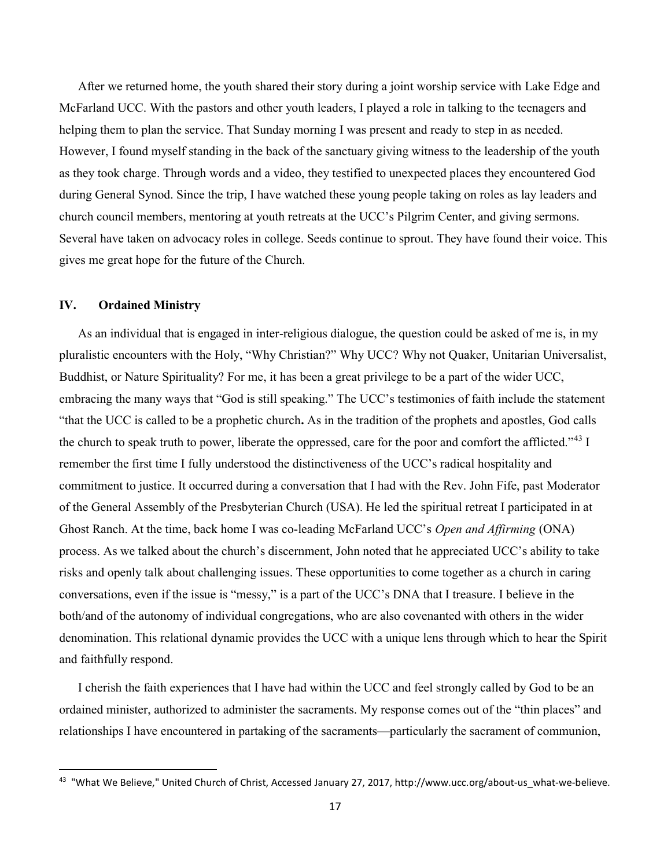After we returned home, the youth shared their story during a joint worship service with Lake Edge and McFarland UCC. With the pastors and other youth leaders, I played a role in talking to the teenagers and helping them to plan the service. That Sunday morning I was present and ready to step in as needed. However, I found myself standing in the back of the sanctuary giving witness to the leadership of the youth as they took charge. Through words and a video, they testified to unexpected places they encountered God during General Synod. Since the trip, I have watched these young people taking on roles as lay leaders and church council members, mentoring at youth retreats at the UCC's Pilgrim Center, and giving sermons. Several have taken on advocacy roles in college. Seeds continue to sprout. They have found their voice. This gives me great hope for the future of the Church.

# IV. Ordained Ministry

 As an individual that is engaged in inter-religious dialogue, the question could be asked of me is, in my pluralistic encounters with the Holy, "Why Christian?" Why UCC? Why not Quaker, Unitarian Universalist, Buddhist, or Nature Spirituality? For me, it has been a great privilege to be a part of the wider UCC, embracing the many ways that "God is still speaking." The UCC's testimonies of faith include the statement "that the UCC is called to be a prophetic church. As in the tradition of the prophets and apostles, God calls the church to speak truth to power, liberate the oppressed, care for the poor and comfort the afflicted."<sup>43</sup> I remember the first time I fully understood the distinctiveness of the UCC's radical hospitality and commitment to justice. It occurred during a conversation that I had with the Rev. John Fife, past Moderator of the General Assembly of the Presbyterian Church (USA). He led the spiritual retreat I participated in at Ghost Ranch. At the time, back home I was co-leading McFarland UCC's *Open and Affirming* (ONA) process. As we talked about the church's discernment, John noted that he appreciated UCC's ability to take risks and openly talk about challenging issues. These opportunities to come together as a church in caring conversations, even if the issue is "messy," is a part of the UCC's DNA that I treasure. I believe in the both/and of the autonomy of individual congregations, who are also covenanted with others in the wider denomination. This relational dynamic provides the UCC with a unique lens through which to hear the Spirit and faithfully respond.

 I cherish the faith experiences that I have had within the UCC and feel strongly called by God to be an ordained minister, authorized to administer the sacraments. My response comes out of the "thin places" and relationships I have encountered in partaking of the sacraments—particularly the sacrament of communion,

<sup>&</sup>lt;sup>43</sup> "What We Believe," United Church of Christ, Accessed January 27, 2017, http://www.ucc.org/about-us\_what-we-believe.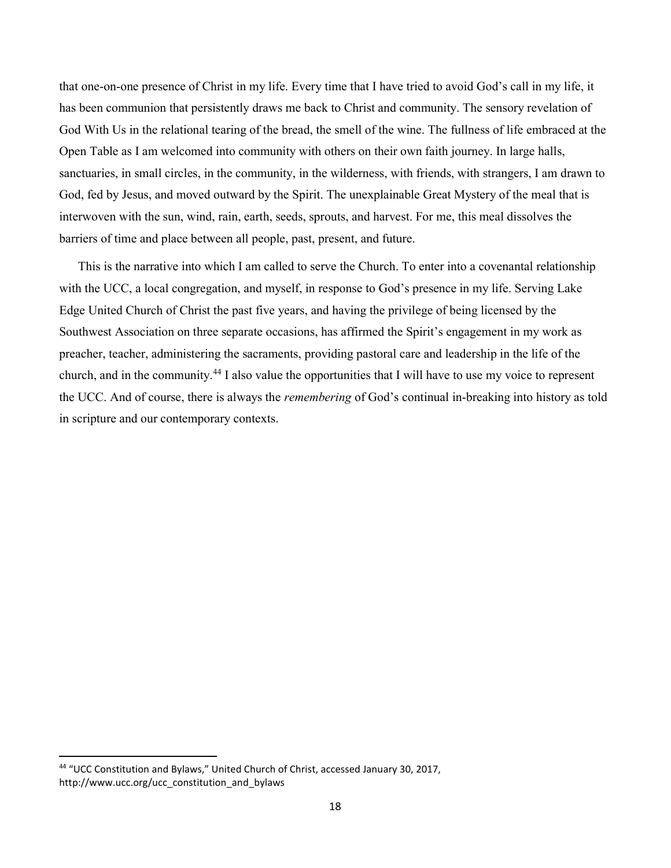that one-on-one presence of Christ in my life. Every time that I have tried to avoid God's call in my life, it has been communion that persistently draws me back to Christ and community. The sensory revelation of God With Us in the relational tearing of the bread, the smell of the wine. The fullness of life embraced at the Open Table as I am welcomed into community with others on their own faith journey. In large halls, sanctuaries, in small circles, in the community, in the wilderness, with friends, with strangers, I am drawn to God, fed by Jesus, and moved outward by the Spirit. The unexplainable Great Mystery of the meal that is interwoven with the sun, wind, rain, earth, seeds, sprouts, and harvest. For me, this meal dissolves the barriers of time and place between all people, past, present, and future.

 This is the narrative into which I am called to serve the Church. To enter into a covenantal relationship with the UCC, a local congregation, and myself, in response to God's presence in my life. Serving Lake Edge United Church of Christ the past five years, and having the privilege of being licensed by the Southwest Association on three separate occasions, has affirmed the Spirit's engagement in my work as preacher, teacher, administering the sacraments, providing pastoral care and leadership in the life of the church, and in the community.<sup>44</sup> I also value the opportunities that I will have to use my voice to represent the UCC. And of course, there is always the *remembering* of God's continual in-breaking into history as told in scripture and our contemporary contexts.

<sup>44</sup> "UCC Constitution and Bylaws," United Church of Christ, accessed January 30, 2017, http://www.ucc.org/ucc\_constitution\_and\_bylaws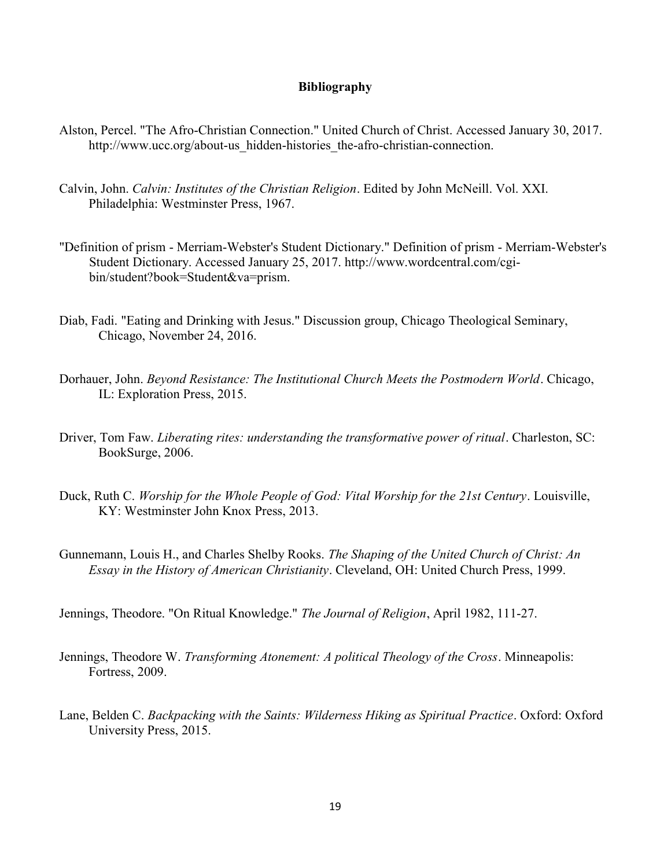# Bibliography

- Alston, Percel. "The Afro-Christian Connection." United Church of Christ. Accessed January 30, 2017. http://www.ucc.org/about-us\_hidden-histories\_the-afro-christian-connection.
- Calvin, John. Calvin: Institutes of the Christian Religion. Edited by John McNeill. Vol. XXI. Philadelphia: Westminster Press, 1967.
- "Definition of prism Merriam-Webster's Student Dictionary." Definition of prism Merriam-Webster's Student Dictionary. Accessed January 25, 2017. http://www.wordcentral.com/cgibin/student?book=Student&va=prism.
- Diab, Fadi. "Eating and Drinking with Jesus." Discussion group, Chicago Theological Seminary, Chicago, November 24, 2016.
- Dorhauer, John. Beyond Resistance: The Institutional Church Meets the Postmodern World. Chicago, IL: Exploration Press, 2015.
- Driver, Tom Faw. Liberating rites: understanding the transformative power of ritual. Charleston, SC: BookSurge, 2006.
- Duck, Ruth C. Worship for the Whole People of God: Vital Worship for the 21st Century. Louisville, KY: Westminster John Knox Press, 2013.
- Gunnemann, Louis H., and Charles Shelby Rooks. The Shaping of the United Church of Christ: An Essay in the History of American Christianity. Cleveland, OH: United Church Press, 1999.
- Jennings, Theodore. "On Ritual Knowledge." The Journal of Religion, April 1982, 111-27.
- Jennings, Theodore W. Transforming Atonement: A political Theology of the Cross. Minneapolis: Fortress, 2009.
- Lane, Belden C. Backpacking with the Saints: Wilderness Hiking as Spiritual Practice. Oxford: Oxford University Press, 2015.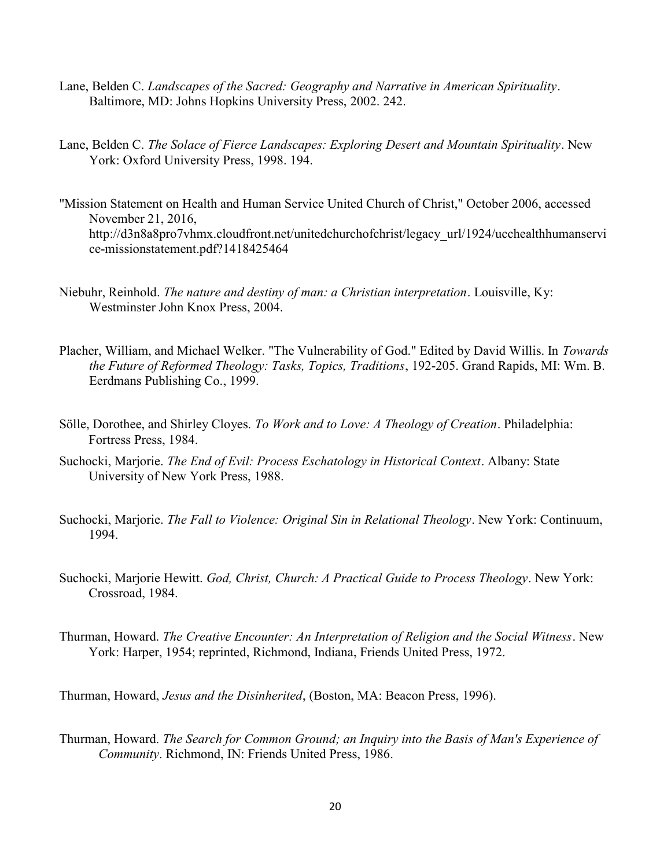- Lane, Belden C. Landscapes of the Sacred: Geography and Narrative in American Spirituality. Baltimore, MD: Johns Hopkins University Press, 2002. 242.
- Lane, Belden C. The Solace of Fierce Landscapes: Exploring Desert and Mountain Spirituality. New York: Oxford University Press, 1998. 194.
- "Mission Statement on Health and Human Service United Church of Christ," October 2006, accessed November 21, 2016, http://d3n8a8pro7vhmx.cloudfront.net/unitedchurchofchrist/legacy\_url/1924/ucchealthhumanservi ce-missionstatement.pdf?1418425464
- Niebuhr, Reinhold. The nature and destiny of man: a Christian interpretation. Louisville, Ky: Westminster John Knox Press, 2004.
- Placher, William, and Michael Welker. "The Vulnerability of God." Edited by David Willis. In Towards the Future of Reformed Theology: Tasks, Topics, Traditions, 192-205. Grand Rapids, MI: Wm. B. Eerdmans Publishing Co., 1999.
- Sölle, Dorothee, and Shirley Cloyes. To Work and to Love: A Theology of Creation. Philadelphia: Fortress Press, 1984.
- Suchocki, Marjorie. The End of Evil: Process Eschatology in Historical Context. Albany: State University of New York Press, 1988.
- Suchocki, Marjorie. *The Fall to Violence: Original Sin in Relational Theology*. New York: Continuum, 1994.
- Suchocki, Marjorie Hewitt. God, Christ, Church: A Practical Guide to Process Theology. New York: Crossroad, 1984.
- Thurman, Howard. The Creative Encounter: An Interpretation of Religion and the Social Witness. New York: Harper, 1954; reprinted, Richmond, Indiana, Friends United Press, 1972.

Thurman, Howard, Jesus and the Disinherited, (Boston, MA: Beacon Press, 1996).

Thurman, Howard. The Search for Common Ground; an Inquiry into the Basis of Man's Experience of Community. Richmond, IN: Friends United Press, 1986.